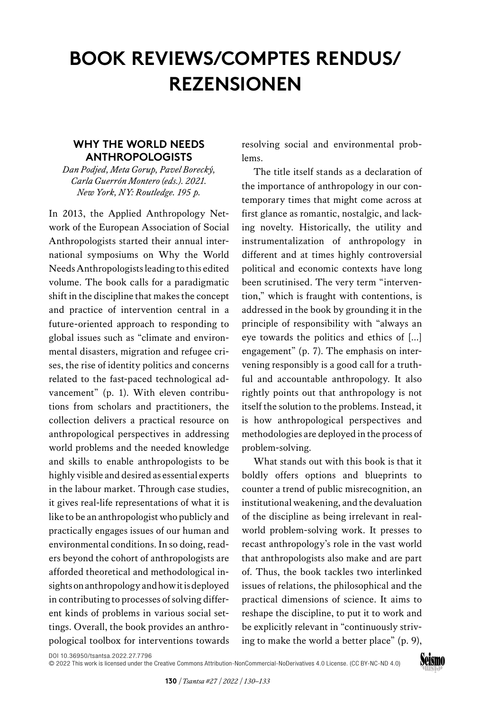## **BOOK REVIEWS/COMPTES RENDUS/ REZENSIONEN**

## **WHY THE WORLD NEEDS ANTHROPOLOGISTS**

*Dan Podjed, Meta Gorup, Pavel Borecký, Carla Guerrón Montero (eds.). 2021. New York, NY: Routledge. 195 p.* 

In 2013, the Applied Anthropology Network of the European Association of Social Anthropologists started their annual international symposiums on Why the World Needs Anthropologists leading to this edited volume. The book calls for a paradigmatic shift in the discipline that makes the concept and practice of intervention central in a future-oriented approach to responding to global issues such as "climate and environmental disasters, migration and refugee crises, the rise of identity politics and concerns related to the fast-paced technological advancement" (p. 1). With eleven contributions from scholars and practitioners, the collection delivers a practical resource on anthropological perspectives in addressing world problems and the needed knowledge and skills to enable anthropologists to be highly visible and desired as essential experts in the labour market. Through case studies, it gives real-life representations of what it is like to be an anthropologist who publicly and practically engages issues of our human and environmental conditions. In so doing, readers beyond the cohort of anthropologists are afforded theoretical and methodological insights on anthropology and how it is deployed in contributing to processes of solving different kinds of problems in various social settings. Overall, the book provides an anthropological toolbox for interventions towards

resolving social and environmental problems.

The title itself stands as a declaration of the importance of anthropology in our contemporary times that might come across at first glance as romantic, nostalgic, and lacking novelty. Historically, the utility and instrumentalization of anthropology in different and at times highly controversial political and economic contexts have long been scrutinised. The very term "intervention," which is fraught with contentions, is addressed in the book by grounding it in the principle of responsibility with "always an eye towards the politics and ethics of […] engagement" (p. 7). The emphasis on intervening responsibly is a good call for a truthful and accountable anthropology. It also rightly points out that anthropology is not itself the solution to the problems. Instead, it is how anthropological perspectives and methodologies are deployed in the process of problem-solving.

What stands out with this book is that it boldly offers options and blueprints to counter a trend of public misrecognition, an institutional weakening, and the devaluation of the discipline as being irrelevant in realworld problem-solving work. It presses to recast anthropology's role in the vast world that anthropologists also make and are part of. Thus, the book tackles two interlinked issues of relations, the philosophical and the practical dimensions of science. It aims to reshape the discipline, to put it to work and be explicitly relevant in "continuously striving to make the world a better place" (p. 9),

[DOI 10.36950/tsantsa.2022.27.7796](https://doi.org/10.36950/tsantsa.2022.27.7796)

[© 2022 This work is licensed under the Creative Commons Attribution-NonCommercial-NoDerivatives 4.0 License. \(CC BY-NC-ND 4.0\)](https://creativecommons.org/licenses/by-nc-nd/4.0/deed.en)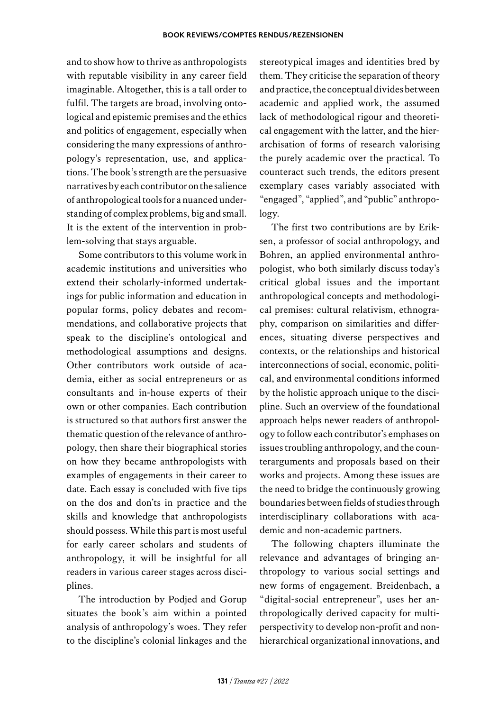and to show how to thrive as anthropologists with reputable visibility in any career field imaginable. Altogether, this is a tall order to fulfil. The targets are broad, involving ontological and epistemic premises and the ethics and politics of engagement, especially when considering the many expressions of anthropology's representation, use, and applications. The book's strength are the persuasive narratives by each contributor on the salience of anthropological tools for a nuanced understanding of complex problems, big and small. It is the extent of the intervention in problem-solving that stays arguable.

Some contributors to this volume work in academic institutions and universities who extend their scholarly-informed undertakings for public information and education in popular forms, policy debates and recommendations, and collaborative projects that speak to the discipline's ontological and methodological assumptions and designs. Other contributors work outside of academia, either as social entrepreneurs or as consultants and in-house experts of their own or other companies. Each contribution is structured so that authors first answer the thematic question of the relevance of anthropology, then share their biographical stories on how they became anthropologists with examples of engagements in their career to date. Each essay is concluded with five tips on the dos and don'ts in practice and the skills and knowledge that anthropologists should possess. While this part is most useful for early career scholars and students of anthropology, it will be insightful for all readers in various career stages across disciplines.

The introduction by Podjed and Gorup situates the book's aim within a pointed analysis of anthropology's woes. They refer to the discipline's colonial linkages and the

stereotypical images and identities bred by them. They criticise the separation of theory and practice, the conceptual divides between academic and applied work, the assumed lack of methodological rigour and theoretical engagement with the latter, and the hierarchisation of forms of research valorising the purely academic over the practical. To counteract such trends, the editors present exemplary cases variably associated with "engaged", "applied", and "public" anthropology.

The first two contributions are by Eriksen, a professor of social anthropology, and Bohren, an applied environmental anthropologist, who both similarly discuss today's critical global issues and the important anthropological concepts and methodological premises: cultural relativism, ethnography, comparison on similarities and differences, situating diverse perspectives and contexts, or the relationships and historical interconnections of social, economic, political, and environmental conditions informed by the holistic approach unique to the discipline. Such an overview of the foundational approach helps newer readers of anthropology to follow each contributor's emphases on issues troubling anthropology, and the counterarguments and proposals based on their works and projects. Among these issues are the need to bridge the continuously growing boundaries between fields of studies through interdisciplinary collaborations with academic and non-academic partners.

The following chapters illuminate the relevance and advantages of bringing anthropology to various social settings and new forms of engagement. Breidenbach, a "digital-social entrepreneur", uses her anthropologically derived capacity for multiperspectivity to develop non-profit and non-hierarchical organizational innovations, and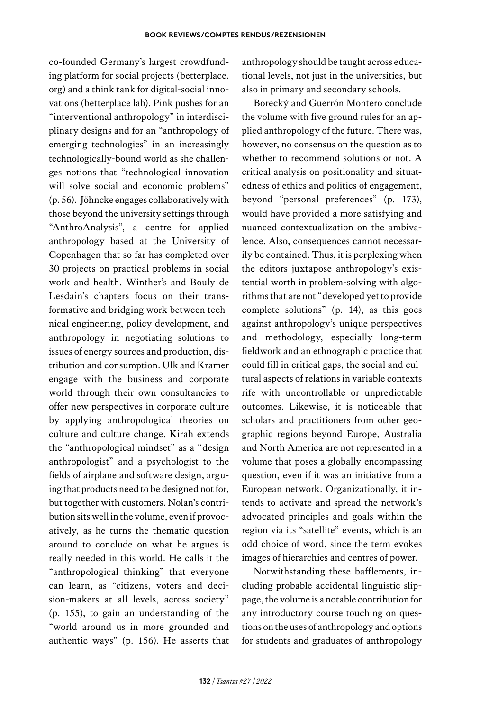co-founded Germany's largest crowdfunding platform for social projects [\(betterplace.](http://betterplace.org) [org\)](http://betterplace.org) and a think tank for digital-social innovations (betterplace lab). Pink pushes for an "interventional anthropology" in interdisciplinary designs and for an "anthropology of emerging technologies" in an increasingly technologically-bound world as she challenges notions that "technological innovation will solve social and economic problems" (p. 56). Jöhncke engages collaboratively with those beyond the university settings through "AnthroAnalysis", a centre for applied anthropology based at the University of Copenhagen that so far has completed over 30 projects on practical problems in social work and health. Winther's and Bouly de Lesdain's chapters focus on their transformative and bridging work between technical engineering, policy development, and anthropology in negotiating solutions to issues of energy sources and production, distribution and consumption. Ulk and Kramer engage with the business and corporate world through their own consultancies to offer new perspectives in corporate culture by applying anthropological theories on culture and culture change. Kirah extends the "anthropological mindset" as a "design anthropologist" and a psychologist to the fields of airplane and software design, arguing that products need to be designed not for, but together with customers. Nolan's contribution sits well in the volume, even if provocatively, as he turns the thematic question around to conclude on what he argues is really needed in this world. He calls it the "anthropological thinking" that everyone can learn, as "citizens, voters and decision-makers at all levels, across society" (p. 155), to gain an understanding of the "world around us in more grounded and authentic ways" (p. 156). He asserts that

anthropology should be taught across educational levels, not just in the universities, but also in primary and secondary schools.

Borecký and Guerrón Montero conclude the volume with five ground rules for an applied anthropology of the future. There was, however, no consensus on the question as to whether to recommend solutions or not. A critical analysis on positionality and situatedness of ethics and politics of engagement, beyond "personal preferences" (p. 173), would have provided a more satisfying and nuanced contextualization on the ambivalence. Also, consequences cannot necessarily be contained. Thus, it is perplexing when the editors juxtapose anthropology's existential worth in problem-solving with algorithms that are not "developed yet to provide complete solutions" (p. 14), as this goes against anthropology's unique perspectives and methodology, especially long-term fieldwork and an ethnographic practice that could fill in critical gaps, the social and cultural aspects of relations in variable contexts rife with uncontrollable or unpredictable outcomes. Likewise, it is noticeable that scholars and practitioners from other geographic regions beyond Europe, Australia and North America are not represented in a volume that poses a globally encompassing question, even if it was an initiative from a European network. Organizationally, it intends to activate and spread the network's advocated principles and goals within the region via its "satellite" events, which is an odd choice of word, since the term evokes images of hierarchies and centres of power.

Notwithstanding these bafflements, including probable accidental linguistic slippage, the volume is a notable contribution for any introductory course touching on questions on the uses of anthropology and options for students and graduates of anthropology